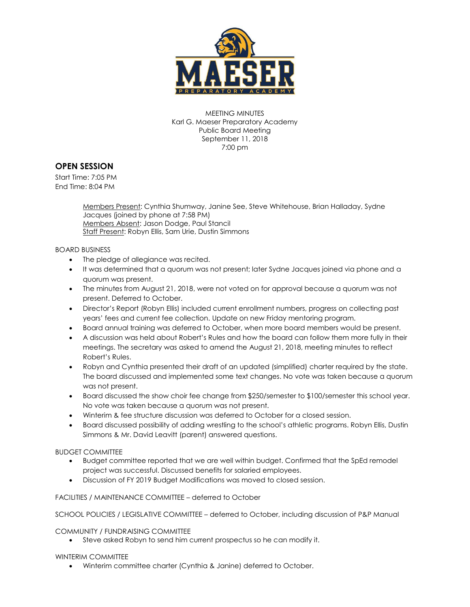

MEETING MINUTES Karl G. Maeser Preparatory Academy Public Board Meeting September 11, 2018 7:00 pm

## **OPEN SESSION**

Start Time: 7:05 PM End Time: 8:04 PM

> Members Present: Cynthia Shumway, Janine See, Steve Whitehouse, Brian Halladay, Sydne Jacques (joined by phone at 7:58 PM) Members Absent: Jason Dodge, Paul Stancil Staff Present: Robyn Ellis, Sam Urie, Dustin Simmons

BOARD BUSINESS

- The pledge of allegiance was recited.
- It was determined that a quorum was not present; later Sydne Jacques joined via phone and a quorum was present.
- The minutes from August 21, 2018, were not voted on for approval because a quorum was not present. Deferred to October.
- Director's Report (Robyn Ellis) included current enrollment numbers, progress on collecting past years' fees and current fee collection. Update on new Friday mentoring program.
- Board annual training was deferred to October, when more board members would be present.
- A discussion was held about Robert's Rules and how the board can follow them more fully in their meetings. The secretary was asked to amend the August 21, 2018, meeting minutes to reflect Robert's Rules.
- Robyn and Cynthia presented their draft of an updated (simplified) charter required by the state. The board discussed and implemented some text changes. No vote was taken because a quorum was not present.
- Board discussed the show choir fee change from \$250/semester to \$100/semester this school year. No vote was taken because a quorum was not present.
- Winterim & fee structure discussion was deferred to October for a closed session.
- Board discussed possibility of adding wrestling to the school's athletic programs. Robyn Ellis, Dustin Simmons & Mr. David Leavitt (parent) answered questions.

BUDGET COMMITTEE

- Budget committee reported that we are well within budget. Confirmed that the SpEd remodel project was successful. Discussed benefits for salaried employees.
- Discussion of FY 2019 Budget Modifications was moved to closed session.

FACILITIES / MAINTENANCE COMMITTEE – deferred to October

SCHOOL POLICIES / LEGISLATIVE COMMITTEE – deferred to October, including discussion of P&P Manual

COMMUNITY / FUNDRAISING COMMITTEE

Steve asked Robyn to send him current prospectus so he can modify it.

WINTERIM COMMITTEE

Winterim committee charter (Cynthia & Janine) deferred to October.